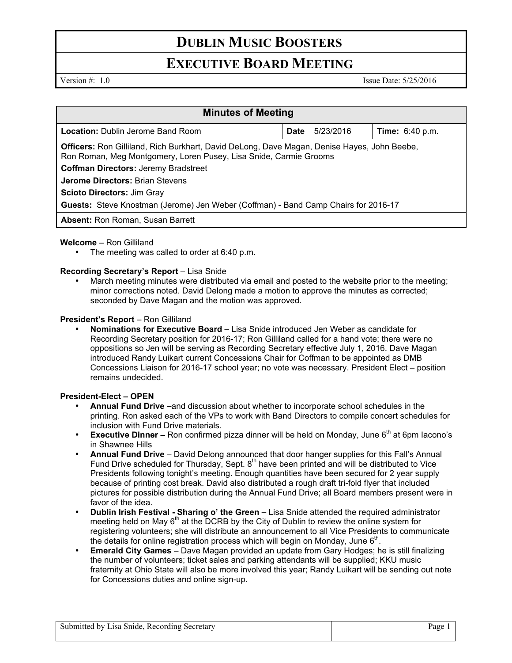# **DUBLIN MUSIC BOOSTERS**

## **EXECUTIVE BOARD MEETING**

Version #: 1.0 Issue Date: 5/25/2016

| <b>Minutes of Meeting</b>                                                                                                                                               |      |           |                        |
|-------------------------------------------------------------------------------------------------------------------------------------------------------------------------|------|-----------|------------------------|
| <b>Location:</b> Dublin Jerome Band Room                                                                                                                                | Date | 5/23/2016 | <b>Time:</b> 6:40 p.m. |
| <b>Officers:</b> Ron Gilliland, Rich Burkhart, David DeLong, Dave Magan, Denise Hayes, John Beebe,<br>Ron Roman, Meg Montgomery, Loren Pusey, Lisa Snide, Carmie Grooms |      |           |                        |
| <b>Coffman Directors: Jeremy Bradstreet</b>                                                                                                                             |      |           |                        |
| <b>Jerome Directors: Brian Stevens</b>                                                                                                                                  |      |           |                        |
| <b>Scioto Directors: Jim Gray</b>                                                                                                                                       |      |           |                        |
| Guests: Steve Knostman (Jerome) Jen Weber (Coffman) - Band Camp Chairs for 2016-17                                                                                      |      |           |                        |
| <b>Absent:</b> Ron Roman, Susan Barrett                                                                                                                                 |      |           |                        |

#### **Welcome** – Ron Gilliland

The meeting was called to order at 6:40 p.m.

### **Recording Secretary's Report – Lisa Snide**

• March meeting minutes were distributed via email and posted to the website prior to the meeting; minor corrections noted. David Delong made a motion to approve the minutes as corrected; seconded by Dave Magan and the motion was approved.

#### **President's Report - Ron Gilliland**

• **Nominations for Executive Board –** Lisa Snide introduced Jen Weber as candidate for Recording Secretary position for 2016-17; Ron Gilliland called for a hand vote; there were no oppositions so Jen will be serving as Recording Secretary effective July 1, 2016. Dave Magan introduced Randy Luikart current Concessions Chair for Coffman to be appointed as DMB Concessions Liaison for 2016-17 school year; no vote was necessary. President Elect – position remains undecided.

### **President-Elect – OPEN**

- **Annual Fund Drive –**and discussion about whether to incorporate school schedules in the printing. Ron asked each of the VPs to work with Band Directors to compile concert schedules for inclusion with Fund Drive materials.
- **Executive Dinner –** Ron confirmed pizza dinner will be held on Monday, June 6<sup>th</sup> at 6pm Iacono's in Shawnee Hills
- **Annual Fund Drive**  David Delong announced that door hanger supplies for this Fall's Annual Fund Drive scheduled for Thursday, Sept.  $8<sup>th</sup>$  have been printed and will be distributed to Vice Presidents following tonight's meeting. Enough quantities have been secured for 2 year supply because of printing cost break. David also distributed a rough draft tri-fold flyer that included pictures for possible distribution during the Annual Fund Drive; all Board members present were in favor of the idea.
- **Dublin Irish Festival Sharing o' the Green –** Lisa Snide attended the required administrator meeting held on May  $6<sup>th</sup>$  at the DCRB by the City of Dublin to review the online system for registering volunteers; she will distribute an announcement to all Vice Presidents to communicate the details for online registration process which will begin on Monday, June  $6<sup>th</sup>$ .
- **Emerald City Games**  Dave Magan provided an update from Gary Hodges; he is still finalizing the number of volunteers; ticket sales and parking attendants will be supplied; KKU music fraternity at Ohio State will also be more involved this year; Randy Luikart will be sending out note for Concessions duties and online sign-up.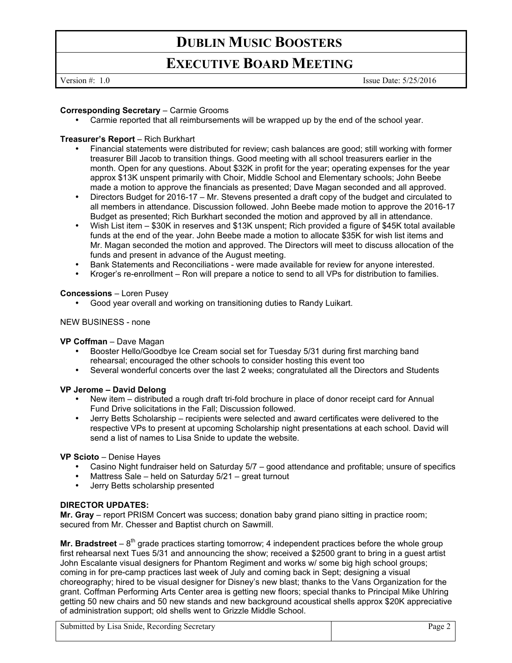# **DUBLIN MUSIC BOOSTERS**

## **EXECUTIVE BOARD MEETING**

Version #: 1.0 Issue Date: 5/25/2016

#### **Corresponding Secretary** – Carmie Grooms

• Carmie reported that all reimbursements will be wrapped up by the end of the school year.

#### **Treasurer's Report** – Rich Burkhart

- Financial statements were distributed for review; cash balances are good; still working with former treasurer Bill Jacob to transition things. Good meeting with all school treasurers earlier in the month. Open for any questions. About \$32K in profit for the year; operating expenses for the year approx \$13K unspent primarily with Choir, Middle School and Elementary schools; John Beebe made a motion to approve the financials as presented; Dave Magan seconded and all approved.
- Directors Budget for 2016-17 Mr. Stevens presented a draft copy of the budget and circulated to all members in attendance. Discussion followed. John Beebe made motion to approve the 2016-17 Budget as presented; Rich Burkhart seconded the motion and approved by all in attendance.
- Wish List item \$30K in reserves and \$13K unspent; Rich provided a figure of \$45K total available funds at the end of the year. John Beebe made a motion to allocate \$35K for wish list items and Mr. Magan seconded the motion and approved. The Directors will meet to discuss allocation of the funds and present in advance of the August meeting.
- Bank Statements and Reconciliations were made available for review for anyone interested.
- Kroger's re-enrollment Ron will prepare a notice to send to all VPs for distribution to families.

#### **Concessions** – Loren Pusey

• Good year overall and working on transitioning duties to Randy Luikart.

### NEW BUSINESS - none

#### **VP Coffman** – Dave Magan

- Booster Hello/Goodbye Ice Cream social set for Tuesday 5/31 during first marching band rehearsal; encouraged the other schools to consider hosting this event too
- Several wonderful concerts over the last 2 weeks; congratulated all the Directors and Students

#### **VP Jerome – David Delong**

- New item distributed a rough draft tri-fold brochure in place of donor receipt card for Annual Fund Drive solicitations in the Fall; Discussion followed.
- Jerry Betts Scholarship recipients were selected and award certificates were delivered to the respective VPs to present at upcoming Scholarship night presentations at each school. David will send a list of names to Lisa Snide to update the website.

#### **VP Scioto** – Denise Hayes

- Casino Night fundraiser held on Saturday 5/7 good attendance and profitable; unsure of specifics
- Mattress Sale held on Saturday 5/21 great turnout
- Jerry Betts scholarship presented

#### **DIRECTOR UPDATES:**

**Mr. Gray** – report PRISM Concert was success; donation baby grand piano sitting in practice room; secured from Mr. Chesser and Baptist church on Sawmill.

**Mr. Bradstreet**  $-8$ <sup>th</sup> grade practices starting tomorrow; 4 independent practices before the whole group first rehearsal next Tues 5/31 and announcing the show; received a \$2500 grant to bring in a guest artist John Escalante visual designers for Phantom Regiment and works w/ some big high school groups; coming in for pre-camp practices last week of July and coming back in Sept; designing a visual choreography; hired to be visual designer for Disney's new blast; thanks to the Vans Organization for the grant. Coffman Performing Arts Center area is getting new floors; special thanks to Principal Mike Uhlring getting 50 new chairs and 50 new stands and new background acoustical shells approx \$20K appreciative of administration support; old shells went to Grizzle Middle School.

Submitted by Lisa Snide, Recording Secretary Page 2